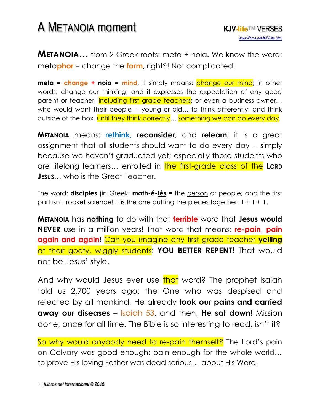## A METANOIA moment **KJV-lite**™ VERSES

**METANOIA…** from 2 Greek roots: meta + noia**.** We know the word: meta**phor** = change the **form**, right?! Not complicated!

**meta = change + noia = mind.** It simply means: change our mind; in other words: change our thinking; and it expresses the expectation of any good parent or teacher, including first grade teachers; or even a business owner... who would want their people -- young or old… to think differently; and think outside of the box, until they think correctly... something we can do every day.

**METANOIA** means: **rethink**, **reconsider**, and **relearn;** it is a great assignment that all students should want to do every day -- simply because we haven't graduated yet; especially those students who are lifelong learners… enrolled in the first-grade class of the **LORD JESUS**… who is the Great Teacher.

The word: **disciples** (in Greek: **math-é-tés =** the person or people; and the first part isn't rocket science! It is the one putting the pieces together:  $1 + 1 + 1$ .

**METANOIA** has **nothing** to do with that **terrible** word that **Jesus would NEVER** use in a million years! That word that means: **re-pain**, **pain again and again!** Can you imagine any first grade teacher **yelling** at their goofy, wiggly students: **YOU BETTER REPENT!** That would not be Jesus' style.

And why would Jesus ever use that word? The prophet Isaiah told us 2,700 years ago: the One who was despised and rejected by all mankind, He already **took our pains and carried**  away our diseases – Isaiah 53. and then, He sat down! Mission done, once for all time. The Bible is so interesting to read, isn't it?

So why would anybody need to re-pain themself? The Lord's pain on Calvary was good enough; pain enough for the whole world… to prove His loving Father was dead serious… about His Word!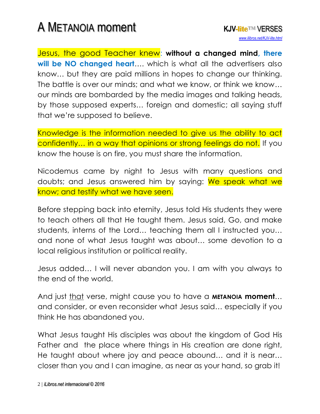## A METANOIA moment **KJV-lite**™ VERSES

Jesus, the good Teacher knew: **without a changed mind, there**  will be NO changed heart.... which is what all the advertisers also know… but they are paid millions in hopes to change our thinking. The battle is over our minds; and what we know, or think we know… our minds are bombarded by the media images and talking heads, by those supposed experts… foreign and domestic; all saying stuff that we're supposed to believe.

Knowledge is the information needed to give us the ability to act confidently... in a way that opinions or strong feelings do not. If you know the house is on fire, you must share the information.

Nicodemus came by night to Jesus with many questions and doubts; and Jesus answered him by saying: We speak what we know; and testify what we have seen.

Before stepping back into eternity, Jesus told His students they were to teach others all that He taught them. Jesus said, Go, and make students, interns of the Lord… teaching them all I instructed you… and none of what Jesus taught was about… some devotion to a local religious institution or political reality.

Jesus added… I will never abandon you. I am with you always to the end of the world.

And just that verse, might cause you to have a **METANOIA moment**… and consider, or even reconsider what Jesus said… especially if you think He has abandoned you.

What Jesus taught His disciples was about the kingdom of God His Father and the place where things in His creation are done right, He taught about where joy and peace abound… and it is near… closer than you and I can imagine, as near as your hand, so grab it!